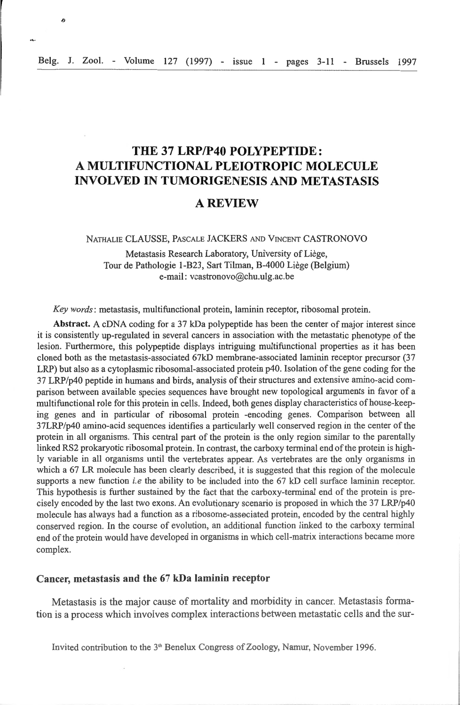n

# **THE 37 LRP/P40 POLYPEPTIDE: A MULTIFUNCTIONAL PLEIOTROPIC MOLECULE INVOLVED IN TUMORIGENESIS AND METASTASIS**

## **AREVIEW**

NATHALIE CLAUSSE, PASCALE JACKERS AND VINCENT CASTRONOVO

Metastasis Research Laboratory, University of Liège, Tour de Pathologie 1-B23, Sart Tilman, B-4000 Liège (Belgium) e-mail : vcastronovo@chu.ulg.ac.be

*Key words:* metastasis, multifunctional prote in, laminin receptor, ribosomal protein.

Abstract. A eDNA coding for a 37 kDa polypeptide has been the center of major interest since it is consistently up-regulated in several cancers in association with the metastatic phenotype of the lesion. Furthermore, this polypeptide displays intriguing multifunctional properties as it has been cloned both as the metastasis-associated 67kD membrane-associated laminin receptor precursor (37 LRP) but also as a cytoplasmic ribosomal-associated protein p40. Isolation of the gene coding for the 37 LRP/p40 peptide in humans and birds, analysis oftheir structures and extensive amino-acid comparison between available species sequences have brought new topological arguments in favor of a multifunctional role for this protein in cells. Indeed, both genes display characteristics of house-keeping genes and in particular of ribosomal protein -encoding genes. Comparison between ail 37LRP/p40 amino-acid sequences identifies a particularly well conserved region in the center of the protein in all organisms. This central part of the protein is the only region similar to the parentally linked RS2 prokaryotic ribosomal protein. In contrast, the carboxy terminal end of the protein is highly variable in all organisms until the vertebrates appear. As vertebrates are the only organisms in which a 67 LR molecule has been clearly described, it is suggested that this region of the molecule supports a new function *i.e* the ability to be included into the 67 kD cell surface laminin receptor. This hypothesis is further sustained by the fact that the carboxy-terminal end of the protein is precisely encoded by the last two exons. An evolutionary scenario is proposed in which the 37 LRP/p40 molecule has always had a function as a ribosome-associated protein, encoded by the central highly conserved region. In the course of evolution, an additional function linked to the carboxy terminal end of the protein would have developed in organisms in which cell-matrix interactions became more complex.

## Cancer, metastasis and the 67 kDa **laminin** receptor

Metastasis is the major cause of mortality and morbidity in cancer. Metastasis formation is a process whicb involves complex interactions between metastatic cells and the sur-

lnvited contribution to the 3"' Benelux Congress of Zoology, Namur, November 1996.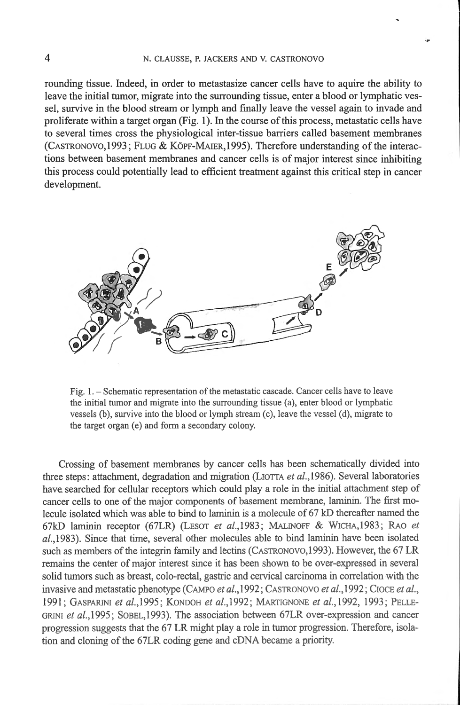rounding tissue. lndeed, in order to metastasize cancer cells have to aquire the ability to leave the initial tumor, migrate into the sunounding tissue, enter a blood or lymphatic vessel, survive in the blood stream or lymph and finally leave the vessel again to invade and proliferate within a target organ (Fig. **1). ln** the course of this process, metastatic cells have to several times cross the physiological inter-tissue barriers called basement membranes  $(CASTRONOVO, 1993; FLUG & KÖPF-MAIER, 1995)$ . Therefore understanding of the interactions between basement membranes and cancer cells is of major interest since inhibiting this process could potentially lead to efficient treatment against this critical step in cancer development.



Fig. 1. - Schematic representation of the metastatic cascade. Cancer cells have to leave the initial tumor and migrate into the surrounding tissue (a), enter blood or lymphatic vessels (b), survive into the blood or lymph stream (c), leave the vesse] (d), migrate to the target organ (e) and form a secondary colony.

Crossing of basement membranes by cancer cells has been schematically divided into three steps: attachment, degradation and migration (LIOTTA *et al.*, 1986). Several laboratories have searched for cellular receptors which could play a role in the initial attachment step of cancer cells to one of the major components of basement membrane, laminin. The first molecule isolated which was able to bind to laminin is a molecule of 67 kD thereafter named the 67kD laminin receptor (67LR) (LESOT et al., 1983; MALINOFF & WICHA, 1983; RAO et  $al.,1983$ ). Since that time, several other molecules able to bind laminin have been isolated such as members of the integrin family and lectins (CASTRONOVO, 1993). However, the 67 LR remains the center of major interest since it has been shown to be over-expressed in several solid tumors such as breast, colo-rectal, gastric and cervical carcinoma in correlation with the invasive and metastatic phenotype (CAMPO *et al.*, 1992; CASTRONOVO *et al.*, 1992; CIOCE *et al.*, 199 1; GASPARINI *et al.,l* 995; KONDOH *et a/.,1 992 ;* MARTIGNONE *et al.,* 1992, 1993 ; PELLE-GRINI *et al. ,!995 ;* SOBEL,l993). The association between 67LR over-expression and cancer progression suggests that the 67 LR might play a role in tumor progression. Therefore, isolation and cloning of the 67LR coding gene and eDNA became a priority.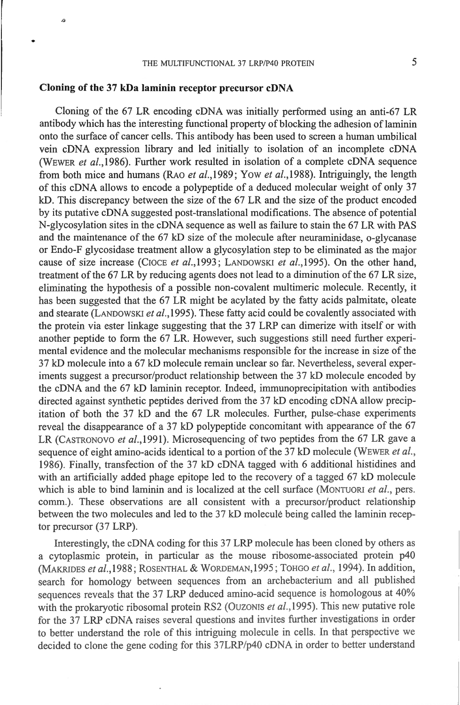#### **Cloning of the 37 kDa laminin receptor precursor eDNA**

 $\overline{a}$ 

Cloning of the 67 LR encoding cDNA was initially performed using an anti-67 LR antibody which has the interesting functional property of blocking the adhesion of laminin onto the surface of cancer cells. This antibody has been used to screen a human umbilical vein eDNA expression Iibrary and led initially to isolation of an incomplete eDNA (WEWER *et al.,1986).* Further work resulted in isolation of a complete eDNA sequence from both mice and humans (RAO *et al.*, 1989; Yow *et al.*, 1988). Intriguingly, the length of this eDNA allows to encode a polypeptide of a deduced molecular weight of only 37 kD. This discrepancy between the size of the 67 LR and the size of the product encoded by its putative eDNA suggested post-translational modifications. The absence of potential N-glycosylation sites in the eDNA sequence as well as failure to stain the 67 LR with PAS and the maintenance of the 67 kD size of the molecule after neuraminidase, o-glycanase or Endo-F glycosidase treatment allow a glycosylation step to be eliminated as the major cause of size increase (CIOCE *et al.,* 1993 ; LANDOWSKI *et al. ,* 1995). On the other band, treatment of the 67 LR by reducing agents does not lead to a diminution of the 67 LR size, eliminating the hypothesis of a possible non-covalent multimeric molecule. Recently, it bas been suggested that the 67 LR might be acylated by the fatty acids palmitate, oleate and stearate (LANDOWSKI *et al.*, 1995). These fatty acid could be covalently associated with the protein via ester linkage suggesting that the 37 LRP can dimerize with itself or with another peptide to fonn the 67 LR. However, such suggestions still need further experimental evidence and the molecular mechanisms responsible for the increase in size of the 37 kD molecule into a 67 kD molecule remain unclear so far. Nevertbeless, severa! experiments suggest a precursor/product relationship between the 37 kD molecule encoded by the cDNA and the 67 kD laminin receptor. Indeed, immunoprecipitation with antibodies directed against synthetic peptides derived from the 37 kD encoding eDNA allow precipitation of both the  $37$  kD and the  $67$  LR molecules. Further, pulse-chase experiments reveal the disappearance of a 37 kD polypeptide concomitant with appearance of the 67 LR (CASTRONOVO *et al.*,1991). Microsequencing of two peptides from the 67 LR gave a sequence of eight amino-acids identical to a portion of the 37 kD molecule (WEWER *et al.,*  1986). Finally, transfection of the 37 kD eDNA tagged with 6 additional histidines and with an artificially added phage epitope led to the recovery of a tagged  $67 \text{ kD}$  molecule which is able to bind laminin and is localized at the cell surface (MONTUORI *et al.*, pers. comm.). These observations are ali consistent with a precursor/product relationsbip between the two molecules and led to the 37 kD molecule being called the laminin receptor precursor (37 LRP).

lnterestingly, the eDNA coding for this 37 LRP molecule bas been cloned by others as a cytoplasmic protein, in particular as the mouse ribosome-associated protein p40 (MAK.RJDES *et al.,* 1988; ROSENTHAL & WORDEMAN, l995 ; TOHGO *et al. ,* 1994). ln addition, search for homology between sequences from an archebacterium and all published sequences reveals tbat the 37 LRP deduced amino-acid sequence is bomologous at 40% with the prokaryotic ribosomal protein RS2 (OUZONIS et al., 1995). This new putative role for the 37 LRP cDNA raises several questions and invites further investigations in order to better understand the role of this intriguing molecule in cells. In that perspective we decided to clone the gene coding for this 37LRP/p40 cDNA in order to better understand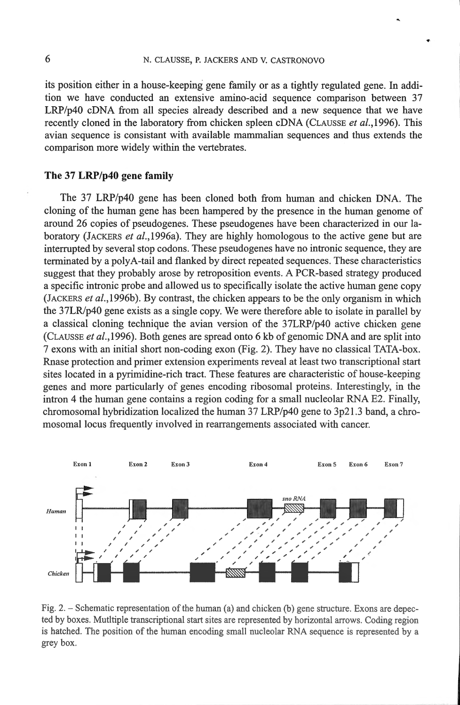its position either in a house-keeping gene family or as a tightly regulated gene. ln addition we have conducted an extensive amino-acid sequence comparison between 37 LRP/p40 eDNA from ali species already described and a new sequence that we have recently cloned in the laboratory from chicken spleen eDNA (CLAUSSE *et* a/.,1996). This avian sequence is consistant with available mamrnalian sequences and thus extends the comparison more widely within the vertebrates.

## **The 37 LRP/p40 gene family**

The 37 LRP/p40 gene has been cloned both from hurnan and chicken DNA. The cloning of the human gene has been hampered by the presence in the human genome of around 26 copies of pseudogenes. These pseudogenes have been characterized in our laboratory (JACKERS *et* al.,l996a). They are highly homologous to the active gene but are interrupted by severa! stop codons. These pseudogenes have no intronic sequence, they are terminated by a polyA-tail and flanked by direct repeated sequences. These characteristics suggest that they probably arose by retroposition events. A PCR-based strategy produced a specifie intronic probe and allowed us to specifically isolate the active human gene copy (JACKERS *et al.*, 1996b). By contrast, the chicken appears to be the only organism in which the 37LR/p40 gene exists as a single copy. We were therefore able to isolate in parallel by a classical cloning technique the avian version of the 37LRP/p40 active chicken gene (CLAUSSE *et* a/.,1996). Both genes are spread onto 6 kb of genomic DNA and are split into 7 exons with an initial short non-coding exon (Fig. 2). They have no classical TATA-box. Rnase protection and primer extension experiments reveal at least two transcriptional start sites located in a pyrimidine-rich tract. These features are characteristic of house-keeping genes and more particularly of genes encoding ribosomal proteins. lnterestingly, in the intron 4 the human gene contains a region coding for a small nucleolar RNA E2. Finally, chromosomal hybridization localized the human  $37 \text{ LRP/p40}$  gene to  $3p21.3$  band, a chromosomal locus frequently involved in rearrangements associated with cancer.



Fig. 2.  $-$  Schematic representation of the human (a) and chicken (b) gene structure. Exons are depected by boxes. Mutltiple transcriptional start sites are represented by horizontal arrows. Coding region is hatched. The position of the human encoding small nucleolar RNA sequence is represented by a grey box.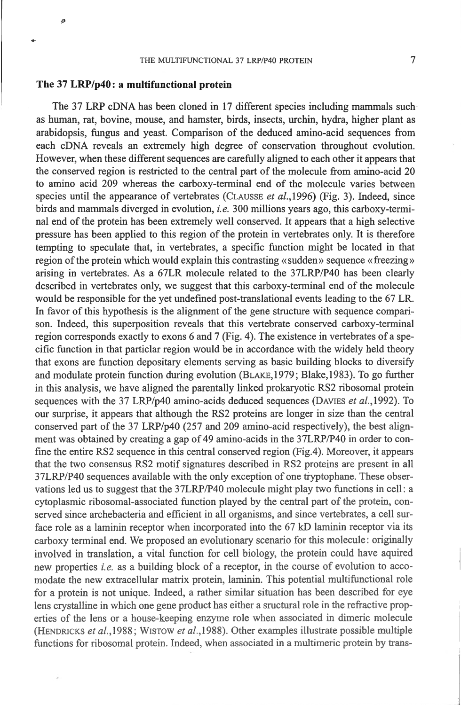### **The 37 LRP/p40: a multifunctional protein**

ø

The 37 LRP eDNA has been cloned in 17 different species including mammals suchas human, rat, bovine, mouse, and hamster, birds, insects, urchin, hydra, higher plant as arabidopsis, fungus and yeast. Comparison of the deduced amino-acid sequences from each eDNA reveals an extremely high degree of conservation throughout evolution. However, when these different sequences are carefully aligned to each other it appears that the conserved region is restricted to the central part of the molecule from amino-acid 20 to amino acid 209 whereas the carboxy-terminal end of the molecule varies between species until the appearance of vertebrates (CLAUSSE *et al.*,1996) (Fig. 3). Indeed, since birds and mammals diverged in evolution, *i.e.* 300 millions years ago, this carboxy-temlinal end of the protein has been extremely weil conserved. It appears that a high selective pressure has been applied to this region of the protein in vertebrales only. It is therefore tempting to speculate that, in vertebrates, a specifie function might be located in that region of the protein which would explain this contrasting «sudden» sequence «freezing» arising in vertebrates. As a 67LR molecule related to the 37LRP/P40 bas been clearly described in vertebrates only, we suggest that this carboxy-tenninal end of the molecule would be responsible for the yet undefined post-translational events leading to the 67 LR. In favor of this hypothesis is the alignment of the gene structure with sequence comparison. Indeed, this superposition reveals that this vertebrate conserved carboxy-terminal region corresponds exactly to exons 6 and 7 (Fig. 4). The existence in vertebrates of aspecific function in that particlar region would be in accordance with the widely held theory that exons are function depositary elements serving as basic building blacks to diversify and modulate protein function during evolution (BLAKE, 1979; Blake, 1983). To go further in this analysis, we have aligned the parentally linked prokaryotic RS2 ribosomal protein sequences with the 37 LRP/p40 amino-acids deduced sequences (DAVIES *et al.*, 1992). To our surprise, it appears that although the RS2 proteins are longer in size than the central conserved part of the 37 LRP/p40 (257 and 209 amino-acid respectively), the best alignment was obtained by creating a gap of 49 amino-acids in the 37LRP/P40 in order to confine the entire RS2 sequence in this central conserved region (Fig.4). Moreover, it appears that the two consensus RS2 motif signatures described in RS2 proteins are present in all 37LRP/P40 sequences available witb the only exception of one tiyptopbane. These observations led us to suggest that the 37LRP/P40 molecule might play two functions in cell: a cytoplasmic ribosomal-associated function played by the central part of the protein, conserved since archebacteria and efficient in all organisms, and since vertebrates, a cell surface role as a laminin receptor when incorporated into the 67 kD laminin receptor via its carboxy terminal end. We proposed an evolutionary scenario for this molecule: originally involved in translation, a vital function for cell biology, the protein could have aquired new properties *i.e.* as a building block of a receptor, in the course of evolution to accomodate the new extracellular matrix protein, laminin. This potential multifunctional role for a protein is not unique. Indeed, a rather similar situation bas been described for eye lens crystalline in which one gene product has either a sructural role in the refractive properties of the lens or a house-keeping enzyme role when associated in dimeric molecule (HENDRICKS *et al. ,l* 988; WISTOW *et* a/.,1988). Other examples illustrate possible multiple functions for ribosomal protein. Indeed, when associated in a multimeric protein by trans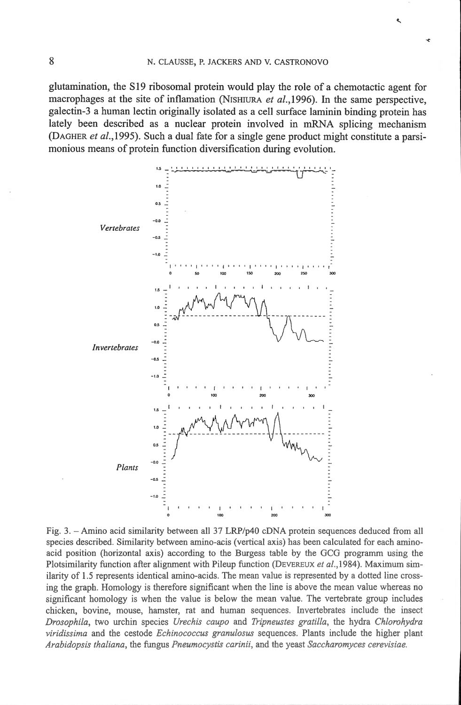glutamination, the S19 ribosomal protein would play the role of a chemotactic agent for macrophages at the site of inflamation (NISHIURA et al., 1996). In the same perspective, galectin-3 a human lectin originally isolated as a cell surface laminin binding protein has lately been described as a nuclear protein involved in mRNA splicing mechanism (DAGHER et al., 1995). Such a dual fate for a single gene product might constitute a parsimonious means of protein function diversification during evolution.



Fig. 3. - Amino acid similarity between all 37 LRP/p40 cDNA protein sequences deduced from all species described. Similarity between amino-acis (vertical axis) has been calculated for each aminoacid position (horizontal axis) according to the Burgess table by the GCG programm using the Plotsimilarity function after alignment with Pileup function (DEVEREUX et al., 1984). Maximum similarity of 1.5 represents identical amino-acids. The mean value is represented by a dotted line crossing the graph. Homology is therefore significant when the line is above the mean value whereas no significant homology is when the value is below the mean value. The vertebrate group includes chicken, bovine, mouse, hamster, rat and human sequences. Invertebrates include the insect Drosophila, two urchin species Urechis caupo and Tripneustes gratilla, the hydra Chlorohydra viridissima and the cestode Echinococcus granulosus sequences. Plants include the higher plant Arabidopsis thaliana, the fungus Pneumocystis carinii, and the yeast Saccharomyces cerevisiae.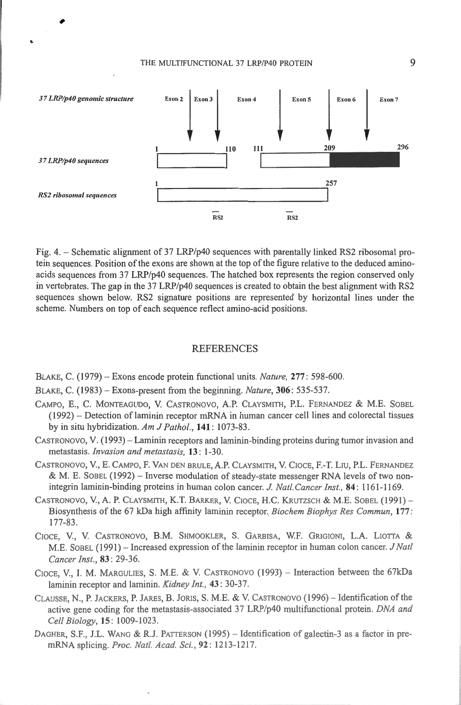

Fig. 4. – Schematic alignment of 37 LRP/p40 sequences with parentally linked RS2 ribosomal protein sequences. Position of the exons are shown at the top of the figure relative to the deduced aminoacids sequences from 37 LRP/p40 sequences. The hatched box represents the region conserved only in vertebrates. The gap in the 37 LRP/p40 sequences is created to obtain the best alignment with RS2 sequences shown below. RS2 signature positions are represented by horizontal lines under the scheme. Numbers on top of each sequence reflect amino-acid positions.

#### **REFERENCES**

BLAKE, C. (1979) - Exons encode protein functional units. Nature, 277: 598-600.

BLAKE, C. (1983) – Exons-present from the beginning. Nature, 306: 535-537.

- CAMPO, E., C. MONTEAGUDO, V. CASTRONOVO, A.P. CLAYSMITH, P.L. FERNANDEZ & M.E. SOBEL  $(1992)$  – Detection of laminin receptor mRNA in human cancer cell lines and colorectal tissues by in situ hybridization. Am J Pathol., 141: 1073-83.
- CASTRONOVO, V. (1993) Laminin receptors and laminin-binding proteins during tumor invasion and metastasis. Invasion and metastasis, 13: 1-30.
- CASTRONOVO, V., E. CAMPO, F. VAN DEN BRULE, A.P. CLAYSMITH, V. CIOCE, F.-T. LIU, P.L. FERNANDEZ & M. E. SOBEL (1992) - Inverse modulation of steady-state messenger RNA levels of two nonintegrin laminin-binding proteins in human colon cancer. J. Natl. Cancer Inst., 84: 1161-1169.
- CASTRONOVO, V., A. P. CLAYSMITH, K.T. BARKER, V. CIOCE, H.C. KRUTZSCH & M.E. SOBEL (1991) -Biosynthesis of the 67 kDa high affinity laminin receptor. Biochem Biophys Res Commun, 177:  $177 - 83$ .
- CIOCE, V., V. CASTRONOVO, B.M. SHMOOKLER, S. GARBISA, W.F. GRIGIONI, L.A. LIOTTA & M.E. SOBEL (1991) - Increased expression of the laminin receptor in human colon cancer. J Natl Cancer Inst., 83: 29-36.
- CIOCE, V., I. M. MARGULIES, S. M.E. & V. CASTRONOVO (1993) Interaction between the 67kDa laminin receptor and laminin. Kidney Int., 43: 30-37.
- CLAUSSE, N., P. JACKERS, P. JARES, B. JORIS, S. M.E. & V. CASTRONOVO (1996) Identification of the active gene coding for the metastasis-associated 37 LRP/p40 multifunctional protein. DNA and Cell Biology, 15: 1009-1023.
- DAGHER, S.F., J.L. WANG & R.J. PATTERSON (1995) Identification of galectin-3 as a factor in premRNA splicing. Proc. Natl. Acad. Sci., 92: 1213-1217.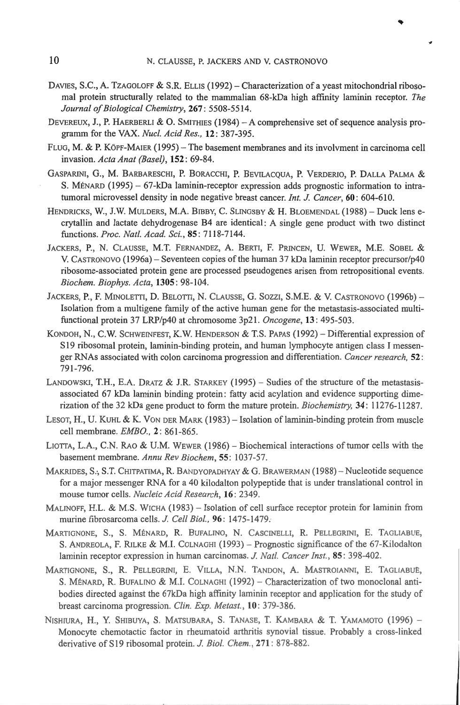- DAVIES, S.C., A. TZAGOLOFF & S.R. ELLIS (1992) Characterization of a yeast mitochondrial ribosomal protein structurally related to the mammalian 68-kDa high affinity laminin receptor. *The*  Journal of Biological Chemistry, 267: 5508-5514.
- DEVEREUX, J., P. HAERBERLI & O. SMITHIES (1984) A comprehensive set of sequence analysis programm for the VAX. *Nue/. A cid Res.,* 12: 387-395.
- FLUG, M. & P. KÖPF-MAIER (1995) The basement membranes and its involvment in carcinoma cell invasion. *Acta A nat (Base/),* 152 : 69-84.
- GASPARINI, G., M. BARBARESCHI, P. BORACCHI, P. BEVILACQUA, P. VERDERIO, P. DALLA PALMA & S. MÉNARD (1995) - 67-kDa laminin-receptor expression adds prognostic information to intratumoral microvessel density in node negative breast cancer. *Int. J. Cancer*, 60: 604-610.
- HENDRICKS, W., J.W. MULDERS, M.A. BIBBY, C. SLINGSBY & H. BLOEMENDAL (1988) Duck lens ecrytallin and lactate dehydrogenase 84 are identical: A single gene product with two distinct functions. *Proc. Nat/. Acad. Sei. ,* 85 : 71 18-7144.
- JACKERS, P., N. CLAUSSE, M.T. FERNANDEZ, A. BERTI, F. PRINCEN, U. WEWER, M.E. SOBEL & V. CASTRONOVO ( 1996a) - Seventeen copies of the human 37 kDa laminin receptor precursor/p40 ribosome-associated protein gene are processed pseudogenes arisen from retropositional events. *Biochem. Biophys. Acta,* 1305: 98-1 04.
- JACKERS, P., F. MINOLETTI, D. BELOTTI, N. CLAUSSE, G. SOZZI, S.M.E. & V. CASTRONOVO (1996b) -Isolation from a multigene family of the active human gene for the metastasis-associated multifunctional protein 37 LRP/p40 at chromosome 3p2 1. *Oncogene,* 13: 495-503.
- KONDOH, N., C.W. SCHWEINFEST, K.W. HENDERSON & T.S. PAPAS (1992) Differential expression of S19 ribosomal protein, laminin-binding protein, and human lymphocyte antigen class I messenger RN As associated with colon carcinoma progression and differentiation. *Cancer research,* 52: 791-796.
- LANDOWSKI, T.H., E.A. DRATZ & J.R. STARKEY (1995) Sudies of the structure of the metastasisassociated 67 kDa laminin binding protein: fatty acid acylation and evidence supporting dimerization of the 32 kDa gene product to form the mature protein. *Biochemistry*, 34: 11276-11287.
- LESOT, H., U. KUHL & K. VoN DER MARK ( 1983)- Isolation of laminin-binding protein from muscle cell membrane. *EMBO.,* 2: 86 1-865.
- LIOTTA, L.A., C.N. RAO & U.M. WEWER  $(1986)$  Biochemical interactions of tumor cells with the basement membrane. Annu Rev Biochem, 55: 1037-57.
- MAKRIDES, S.; S.T. CHITPATIMA, R. BANDYOPADHYAY & G. BRAWERMAN (1988) Nucleotide sequence for a major messenger RNA for a 40 kilodalton polypeptide that is under translational control in mouse tumor cells. *Nucleic A cid Research,* 16: 2349.
- MALINOFF, H.L. & M.S. WICHA (1983) Isolation of cell surface receptor protein for laminin from murine fibrosarcoma cells. *J. Cell Biol.,* 96 : 1475-1479:
- MARTIGNONE, S., S. MÉNARD, R. BUFALINO, N. CASCINELLI, R. PELLEGRINI, E. TAGLIABUE, S. ANDREOLA, F. RILKE & M.I. COLNAGHI (1993) – Prognostic significance of the 67-Kilodalton laminin receptor expression in human carcinomas. *J. Natl. Cancer lnst.,* 85 : 398-402.
- MARTIGNONE, S., R. PELLEGRINI, E. VILLA, N.N. TANDON, A. MASTROIANNI, E. TAGLIABUE, S. MÉNARD, R. BUFALINO & M.I. COLNAGHI (1992) - Characterization of two monoclonal antibodies directed against the 67kDa high affmity laminin receptor and application for the study of breast carcinoma progression. *Clin. Exp. Metast.,* 10: 379-386.
- NISHIURA, H., Y. SHIBUYA, S. MATSUBARA, S. TANASE, T. KAMBARA & T. YAMAMOTO (1996) -Monocyte chemotactic factor in rheumatoid arthritis synovial tissue. Probably a cross-linked derivative of S 19 ribosomal protein. *J. Biol. Chem.,* 271: 878-882.